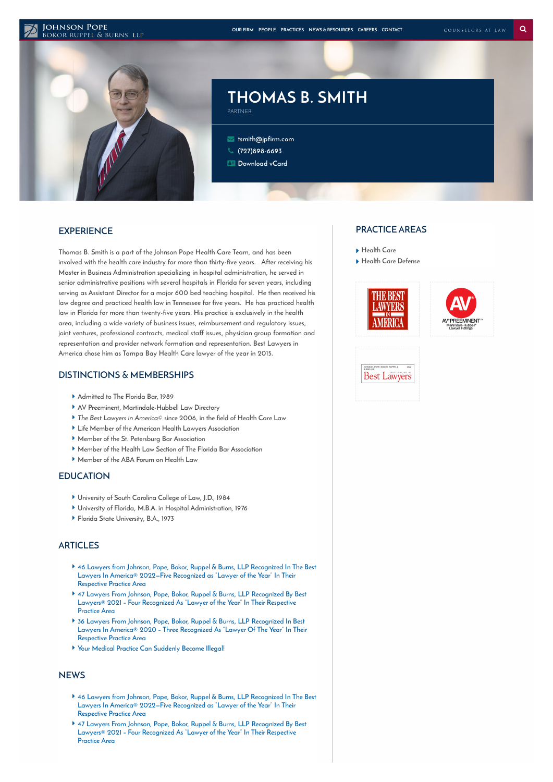#### **JOHNSON POPE** BOKOR RUPPEL & BURNS, LLP



# **THOMAS B. SMITH**

 **[tsmith@jpfirm.com](mailto:tsmith@jpfirm.com) [\(727\)898-6693](tel:+1-727-898-6693) [Download](https://www.jpfirm.com/wp-content/themes/paperstreet/vcard/vcard.php?name=thomas-b-smith) vCard**

PARTNER

# **EXPERIENCE**

**Thomas B. Smith is a part of the Johnson Pope Health Care Team, and has been involved with the health care industry for more than thirty-five years. After receiving his Master in Business Administration specializing in hospital administration, he served in senior administrative positions with several hospitals in Florida for seven years, including serving as Assistant Director for a major 600 bed teaching hospital. He then received his law degree and practiced health law in Tennessee for five years. He has practiced health law in Florida for more than twenty-five years. His practice is exclusively in the health area, including a wide variety of business issues, reimbursement and regulatory issues, joint ventures, professional contracts, medical staff issues, physician group formation and representation and provider network formation and representation. Best Lawyers in America chose him as Tampa Bay Health Care lawyer of the year in 2015.**

### **DISTINCTIONS & MEMBERSHIPS**

- **Admitted to The Florida Bar, 1989**
- **AV Preeminent, Martindale-Hubbell Law Directory**
- **The Best Lawyers in America© since 2006, in the field of Health Care Law**
- **Life Member of the American Health Lawyers Association**
- **Member of the St. Petersburg Bar Association**
- **Member of the Health Law Section of The Florida Bar Association**
- **Member of the ABA Forum on Health Law**

#### **EDUCATION**

- **University of South Carolina College of Law, J.D., 1984**
- **University of Florida, M.B.A. in Hospital Administration, 1976**
- **Florida State University, B.A., 1973**

## **ARTICLES**

- **46 Lawyers from Johnson, Pope, Bokor, Ruppel & Burns, LLP [Recognized](https://www.jpfirm.com/news-resources/46-lawyers-from-johnson-pope-bokor-ruppel-burns-llp-recognized-in-the-best-lawyers-in-america-2022-five-recognized-as-lawyer-of-the-year-in-their-respective-pract/) In The Best Lawyers In America® 2022—Five Recognized as "Lawyer of the Year" In Their Respective Practice Area**
- **47 Lawyers From Johnson, Pope, Bokor, Ruppel & Burns, LLP [Recognized](https://www.jpfirm.com/news-resources/47-lawyers-johnson-pope-bokor-ruppel-burns-llp-recognized-best-lawyers-2021-four-recognized-lawyer-year-respective-practice-area/) By Best Lawyers® 2021 – Four Recognized As "Lawyer of the Year" In Their Respective Practice Area**
- **36 Lawyers From Johnson, Pope, Bokor, Ruppel & Burns, LLP Recognized In Best Lawyers In America® 2020 – Three [Recognized](https://www.jpfirm.com/news-resources/36-lawyers-johnson-pope-bokor-ruppel-burns-llp-recognized-best-lawyers-america-2020-three-recognized-lawyer-year-respective-practice-area/) As "Lawyer Of The Year" In Their Respective Practice Area**
- **Your Medical Practice Can [Suddenly](https://www.jpfirm.com/news-resources/can-your-medical-practice-suddenly-become-illegal/) Become Illegal!**

### **NEWS**

- **46 Lawyers from Johnson, Pope, Bokor, Ruppel & Burns, LLP [Recognized](https://www.jpfirm.com/news-resources/46-lawyers-from-johnson-pope-bokor-ruppel-burns-llp-recognized-in-the-best-lawyers-in-america-2022-five-recognized-as-lawyer-of-the-year-in-their-respective-pract/) In The Best Lawyers In America® 2022—Five Recognized as "Lawyer of the Year" In Their Respective Practice Area**
- **47 Lawyers From Johnson, Pope, Bokor, Ruppel & Burns, LLP Recognized By Best Lawyers® 2021 – Four [Recognized](https://www.jpfirm.com/news-resources/47-lawyers-johnson-pope-bokor-ruppel-burns-llp-recognized-best-lawyers-2021-four-recognized-lawyer-year-respective-practice-area/) As "Lawyer of the Year" In Their Respective Practice Area**

#### **PRACTICE AREAS**

- **[Health](https://www.jpfirm.com/practices/health-care/) Care**
- **Health Care [Defense](https://www.jpfirm.com/practices/health-care-defense/)**